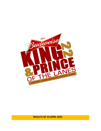

**RESULTS OF 24 APRIL 2022**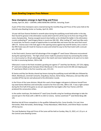# **Guam Bowling Congress Press Release**

## **New champions emerge in April King and Prince**

Sunday, April 24, 2022 – CENTRAL LANES BOWLING CENTER, Tamuning, Guam

A pair of first-time champions were crowned during the monthly King and Prince of the Lanes held at the Central Lanes Bowling Center on Sunday, April 24, 2022.

16-year-old Evan Duenas finished in seventh place during the qualifying round held earlier in the day, then found his groove in the elimination rounds which took him all the way to his first-ever King of the Lanes championship. Duenas escaped several close battles as he climbed the ladder in the elimination rounds outdueling  $6<sup>th</sup>$  seed Gregory Borja in round one 204-194. After trailing  $10<sup>th</sup>$  seed Juan Blas early in round two, he found a couple of opportunities to overtake Blas and move into the semi-final round 189-175. Duenas was in the hole again in the opening stanza against top seed RJ Santos, but a crack in the fifth frame was all it took for Duenas to seize and inched his way to the final match with a one-pin win, 231-230.

In the final match, Duenas took full advantage of the struggles  $9<sup>th</sup>$  seed Ceasar Villanueva encountered during the opening frames. The high school Junior made his presence known by connecting five strikes in a row to jump to a 56-pin advantage early in the match and never looked back as he went on to claim his title in convincing fashion, 230 to 188.

Villanueva's route to the finals included a grueling win against 2<sup>nd</sup> seed Ray San Nicolas, 237-224, edging 4<sup>th</sup> seed and multiple grand champion Brian Manibusan in the second round 210-200 and slipping past 3<sup>rd</sup> seed Aaron Elliott in the first round by a pin, 215-214.

RJ Santos and Ray San Nicolas shared top honors during the qualifying round with 866 pins followed by Elliott, Manibusan, Jeremiah Camacho, Greg Borja, Duenas, Darien Borja, Villanueva, and Juan Blas who rounded off the top ten and advanced to the elimination rounds.

In the Prince of the Lanes division, Miyuki Kim used a three-bagger mid-game to distance herself from top seed Gomes Martinez and eventually cruised to her first-ever title, 188 to 130. It was a tight contest during the first half of the game as one pin separated the two keglers after four frames until Kim produced the consecutive strikes.

In the earlier matchups, Kim bettered 3<sup>rd</sup> seed Corey Granillo using her handicap advantage to take the second spot in the finals with a 180+41 to 202+12 victory. Gomes outshined 7<sup>th</sup> seed Sheila Bang 186-125.

Martinez led all Prince competitors in the qualifier followed by Kim, Corey Granillo, Cris Leal, Aron Hernandez, Rolly Hernandez, Sheila Bangs, Trinity Nalundasan, Mike Brown, and Arlene Reyes rounded off the top ten.

The next Budweiser King and Prince of the Lanes will be held on Sunday, May 15, 2022, at 1:15 p.m. at the Central Lanes Bowling Center.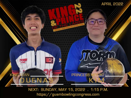

NEXT: SUNDAY, MAY 15, 2022 . 1:15 P.M. https://guambowlingcongress.com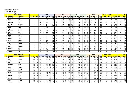## **King and Prince of the Lanes**

**Sunday, April 24, 2022**

 $\Box$  $\mathbf{r}$ 

**Central Lanes Bowling Center**

| <b>Name of Bowler</b> |                   |                | Game 1      |            |   | Game 2        |       |          |              |             |  | Game 3       |            |             |              | Game 4     |              | <b>Scratch</b> | No. of       |              |              | Grand                 |    |              |
|-----------------------|-------------------|----------------|-------------|------------|---|---------------|-------|----------|--------------|-------------|--|--------------|------------|-------------|--------------|------------|--------------|----------------|--------------|--------------|--------------|-----------------------|----|--------------|
| <b>Pos Last Name</b>  | <b>First Name</b> | <b>Average</b> | <b>Hdcp</b> | Lane   Seq |   | Score   $Hcp$ | Total | Lane Seq |              | Score   Hcp |  | <b>Total</b> | Lane   Seq | Score   Hcp | <b>Total</b> | Lane   Seg |              | Score   Hcp    | <b>Total</b> | <b>Total</b> | <b>Games</b> | <b>Average   Hdcp</b> |    | <b>Total</b> |
| 1 San Nicolas         | Ray               |                |             | 28         |   | 230           | 230   | 14       | A            | 164         |  | 164          | 18         | 267         | 267          | 22         |              | 205            | 205          | 866          |              | 216.50                |    | 866          |
| 2 Santos              | <b>RJ</b>         |                |             | 30         |   | 257           | 257   | 16       |              | 237         |  | 237          | 20         | 158         | 158          | 24         |              | 214            | 214          | 866          |              | 216.50                |    | 866          |
| 3Elliott              | Aaron             |                |             | 29         |   | 148           | 148   | 25       | <sup>B</sup> | 211         |  | 211          | 21         | 245         | 245          |            | <sup>B</sup> | 227            | 227          | 831          |              | 207.75                |    | 831          |
| 4 Manibusan           | <b>Brian</b>      |                |             | 13         |   | 204           | 204   | 27       |              | 217         |  | 217          | 23         | 176         | 176          | 19         |              | 210            | 210          | 807          |              | 201.75                |    | 807          |
| 5 Camacho             | Jeremiah          |                |             | 19         |   | 174           | 174   | 15       |              | 215         |  | 215          | 29         | 200         | 20C          | 25         |              | 216            | 216          | 805          |              | 201.25                |    | 805          |
| 6Borja                | Greg              |                |             | 20         |   | 222           | 222   | 24       |              | 186         |  | 186          | 28         | 237         | 237          |            |              | 136            | 136          | 781          |              | 195.25                |    | 781          |
| 7Duenas               | Evan              |                |             | 16         |   | 172           | 172   | 20       |              | 180         |  | 180          | 24         | 198         | 198          | 28         |              | 210            | 210          | 760          |              | 190.00                |    | 760          |
| 8Borja                | <b>Darien</b>     |                |             | 25         |   | 168           | 168   | 21       | <sup>B</sup> | 192         |  | 192          |            | 186         | 186          |            | <sup>R</sup> | 210            | 210          | 756          |              | 189.00                |    | 756          |
| 9 Villanueva          | Cesar             |                |             | 15         |   | 199           | 199   | 29       |              | 186         |  | 186          | 25         | 194         | 194          |            |              | 169            | 169          | 748          |              | 187.00                |    | 748          |
| $10$ Blas             | Juan              |                |             | 18         |   | 207           | 207   | 22       | A            | 157         |  | 157          | 26         | 187         | 187          | 30         |              | 195            | 195          | 746          |              | 186.50                |    | 746          |
| 11 Manibusan          | Frank Jr.         |                |             | 22         |   | 179           | 179   | 26       |              | 158         |  | 158          | 30         | 196         | 196          | 16         |              | 209            | 209          | 742          |              | 185.50                |    | 742          |
| 12 Duenas             | <b>Ricky</b>      |                |             | 15         |   | 145           | 145   | 29       |              | 221         |  | 221          | 25         | 180         | <b>180</b>   |            |              | 191            | 191          | 737          |              | 184.25                |    | 737          |
| 13 Catbagan           | <b>Charlie</b>    |                |             | 14         |   | 209           | 209   | 18       |              | 169         |  | 169          | 22         | 179         | 179          | 26         |              | 174            | 174          | 731          |              | 182.75                |    | 731          |
| 14 Mendiola           | Justin            |                |             | 21         |   | 182           | 182   | 17       | A            | 204         |  | 204          | 13         | 147         | 147          | 27         |              | 193            | 193          | 726          |              | 181.50                |    | 726          |
| 15 Zamora             | Zayne             |                |             | 25         |   | 143           | 143   | 21       | A            | 159         |  | 159          |            | 254         | 254          | 13         |              | 168            | 168          | 724          |              | 181.00                |    | 724          |
| 16 Cruz               | Ray               |                |             | 29         |   | 208           | 208   | 25       |              | 168         |  | 168          | 21         | 164         | 164          |            |              | 171            | 171          | 711          |              | 177.75                |    | 711          |
| 17 Scott              | <b>Darrell</b>    |                |             | 27         |   | 187           | 187   | 23       |              | 148         |  | 148          | 19         | 182         | 182          | 15         |              | 178            | 178          | 695          |              | 173.75                |    | 695          |
| 18 Wood               | Maria             |                |             | 26         |   | 165           | 173   | 30       |              | 149         |  | 157          | 16         | 161         | 169          |            |              | 184            | 192          | 659          |              | 164.75                | 32 | 691          |
| 19 Santos             | Cameron           |                |             | 23         |   | 149           | 149   | 19       |              | 225         |  | 225          | 15         | 149         | 149          | 29         |              | 164            | 164          | 687          |              | 171.75                |    | 687          |
| 20 Mercado            | John              |                |             | 24         |   | 164           | 164   | 28       |              | 201         |  | 201          | 14         | 132         | 132          | 18         |              | 183            | 183          | 680          |              | 170.00                |    | 680          |
| 21 Sanchez            | <b>Mike</b>       |                |             | 21         |   | 176           | 176   |          | <sup>B</sup> | 190         |  | 190          | 13         | 170         | 170          |            | <sup>B</sup> | 134            | 134          | 670          |              | 167.50                |    | 670          |
| 22 Etheridge          | Ty                |                |             | 17         | A | 139           | 139   | 13       | A            | 148         |  | 148          | 27         | 159         | 159          | 23         |              | 171            | 171          | 617          |              | 154.25                |    | 617          |

| <b>Name of Bowler</b> |                   |                |    |            |   | Game 1       |         |                 |          | Game 2     |              |           |              |      |                | Game 3            |                 |       |      |                  | Game 4       |     |              | <b>Scratch</b> | No. of       |                |             | <b>Grand</b> |
|-----------------------|-------------------|----------------|----|------------|---|--------------|---------|-----------------|----------|------------|--------------|-----------|--------------|------|----------------|-------------------|-----------------|-------|------|------------------|--------------|-----|--------------|----------------|--------------|----------------|-------------|--------------|
| Pos  Last Name        | <b>First Name</b> | <b>Average</b> |    | Lane   Seq |   | <b>Score</b> | $ $ Hcp | <b>Total</b>    |          | Lane   Seq | <b>Score</b> | l Hcp     | <b>Total</b> | Lane |                | Seq   Score   Hcp |                 | Total | Lane | Seq <sup>l</sup> | <b>Score</b> | Hcp | <b>Total</b> | <b>Total</b>   | <b>Games</b> | <b>Average</b> | <b>Hdcp</b> | <b>Total</b> |
| <b>Martinez</b>       | <b>Gomez</b>      | 162            | 29 |            | B | 176          | 29      | 205             | 19       | B          | 145          | <u>29</u> | 174          |      |                | 219               | 29              | 248   | 29   | B                | 202          | 29  | 231          | 742            |              | 185.50         | 116         | 858          |
| kim!                  | <b>Miyuki</b>     | 146            | 41 |            | B | 175          | 41      | 216             | 26       |            | 161          | 41        | 202          | 30   |                | 169               | 41              | 210   | 16   | <sup>B</sup>     | 143          | 41  | 184          | 648            |              | 162.00         | L64         | 812          |
| 3 Granillo            | <b>Corey</b>      | 174            |    | 24         | B | 180          | 12      | 192             | 28       |            | 213          | 12        | 225          | 14   |                | 162               | 12 <sub>l</sub> | 174   | 18   |                  | 208          | 12  | 220          | 763            |              | 190.75         | 481         | 811          |
| 4 Leal                | <b>Cris</b>       | 175            | 11 |            |   | 160          |         | 17 <sub>2</sub> |          |            | 187          | 11        | 198          |      |                | 172               |                 | 183   |      |                  | 227          | 11  | 238          | 746            |              | 186.50         | 441         | 790          |
| 5 Hernandez           | <b>Aron</b>       | 159            | 23 |            | B | 205          | 23      | 228             |          |            | 155          | 23        | 178          | 23   |                | 155               | 23I             | 178   | 19   |                  | 146          | 23  | 169          | 661            |              | 165.25         | 921         | 753          |
| 5 Hernandez           | <b>Rolly</b>      | 158            | 24 |            | B | 177          | 24      | 201             | 29       |            | 170          | 24        | 194          | 25   |                | 142               | 24              | 166   | 21   | B                | 143          | 24  | 167          | 632            |              | 158.00         | 961         | 728          |
| Bangs <sup>'</sup>    | <b>Sheila</b>     | 162            | 29 |            | B | 161          | 29      | 190             | 15       |            | 157          | <u>29</u> | 186          | 29   |                | 145               | 29              | 174   | 25   | B                | 147          | 29  | 176          | 610            |              | 152.50         | <b>116</b>  | 726          |
| 8 Nalundasan          | <b>Trinity</b>    | 157            | 32 | 30         | B | 150          | 32      | 182             | 16       |            | 166          | 32        | 198          | 20   | $\overline{A}$ | 133               | 32 <sup>1</sup> | 165   | 24   |                  | 144          | 32  | 176          | 593            |              | 148.25         | 1281        | 721          |
| 9 Brown               | <b>Mike</b>       | 158            | 24 |            | B | 126          | 24      | 150             | 18       | B          | 183          | 24        | 207          | 22   | B              | 158               | 24              | 182   | 26   | B                | 156          | 24  | 18C          | 623            |              | 155.75         | 96I         | 719          |
| 10 Reyes              | Arlene            | 162            | 29 |            | B | 147          | 29      | 176             | 24       |            | 139          | <u>29</u> | 168          | 28   | B              | 131               | 29              | 160   | 14   |                  | 178          | 29  | 207          | 595            |              | 148.75         | 116         | 711          |
| 11 Roberto            | <b>Bill</b>       | 170            | 15 |            | B | 185          | 15      | 200             | 20       |            | 132          | 15        | 147          | 24   |                | 133               | 15 <sub>l</sub> | 148   | 28   |                  | 198          | 15  | 213          | 648            |              | 162.00         | 60          | 708          |
| 12 Brantley           | <b>Rian</b>       | 153            | 27 | 26         | B | 198          | 27      | 225             | 30       | B          | 119          | 27        | 146          | 16   |                | 124               | 27              | 151   |      | B                | 145          | 27  | 172          | 586            |              | 146.50         | 108         | 694          |
| 13 Duenas             | Elijah            | 149            | 30 |            | B | 133          | 30      | 163             | 13       |            | 131          | 30        | 161          |      |                | 159               | 30 <sup>l</sup> | 189   | 23   | B                | 147          | 30  | 177          | 570            |              | 142.50         | 120l        | 690          |
| 14 Robinson           | <b>Ethan</b>      | 159            | 23 |            | B | 129          | 23      | 152             | 23       |            | 162          | 23        | 185          | 19   |                | 135               | 23 <sub>l</sub> | 158   | 15   |                  | 150          | 23  | 173          | 576            |              | 144.00         | 92          | 668          |
| 15 Lopez              | <b>Phillip</b>    | 159            | 23 |            | B | 154          | 23      | 177             | ำา<br>22 |            | 117          | 23        | 140          | 26   |                | 148               | 23 <sub>l</sub> | 171   | 30   |                  | 141          | 23  | 164          | 560            |              | 140.00         | 92I         | 652          |
| 16 Palaganas          | <b>Rudy</b>       | 168            |    | 28         | B | 124          | 16      | 140             |          |            | 140          | 16        | 156          | 18   |                | 135               | 16              | 151   |      |                  | 128          | 16  | 144          | 527            |              | 131.75         | 64I         | 591          |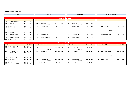### **Elimination Round - April 2022**

| Round 1                  |     |               |    | <b>Round 2</b>           |     |                            | Semi-Final               |     |               |    | <b>MONTHLY FINALS</b>    |               |     |  |  |  |  |
|--------------------------|-----|---------------|----|--------------------------|-----|----------------------------|--------------------------|-----|---------------|----|--------------------------|---------------|-----|--|--|--|--|
|                          |     |               |    |                          |     |                            |                          |     |               |    |                          |               |     |  |  |  |  |
|                          |     |               |    |                          |     | <b>King of the Lanes</b>   |                          |     |               |    |                          |               |     |  |  |  |  |
| Lane Seed Athlete's Name |     | Game Hp Total |    | Lane Seed Athlete's Name |     | Game Hp Total              | Lane Seed Athlete's Name |     | Game Hp Total |    | Lane Seed Athlete's Name | Game Hp Total |     |  |  |  |  |
| 5 Camacho Jeremiah<br>13 | 149 | 149           |    |                          |     |                            |                          |     |               |    |                          |               |     |  |  |  |  |
| 14 10 Blas Juan          | 167 | 167           |    | 21 10 Blas Juan          | 175 | 175                        | 17<br>1 Santos RJ        | 230 | 230           |    |                          |               |     |  |  |  |  |
|                          |     |               |    | versus                   |     |                            | versus                   |     |               |    |                          |               |     |  |  |  |  |
| 6 Borja Greg<br>15       | 194 | 194           | 22 | 7 Duenas Evan            | 189 | 189                        | 18<br>7 Duenas Evan      | 231 | 231           | 13 | 7 Duenas Evan            | 230           | 230 |  |  |  |  |
| 7 Duenas Evan<br>16      | 204 | 204           |    |                          |     |                            |                          |     |               |    |                          |               |     |  |  |  |  |
|                          |     |               |    |                          |     |                            |                          |     |               |    | versus                   |               |     |  |  |  |  |
| 17<br>3 Elliott Aaron    | 214 | 214           |    |                          |     |                            |                          |     |               |    |                          |               |     |  |  |  |  |
| 9 Villanueva Cesar<br>18 | 215 | 215           | 23 | 9 Villanueva Cesar       | 210 | 210                        | 9 Villanueva Cesar<br>15 | 237 | 237           | 14 | 9 Villanueva Cesar       | 188           | 188 |  |  |  |  |
|                          |     |               |    | versus                   |     |                            | versus                   |     |               |    |                          |               |     |  |  |  |  |
| 19<br>4 Manibusan Brian  | 245 | 245           | 24 | 4 Manibusan Brian        | 200 | 200                        | 2 San Nicolas Ray<br>16  | 224 | 224           |    |                          |               |     |  |  |  |  |
| 8 Borja Darien<br>20     | 201 | 201           |    |                          |     |                            |                          |     |               |    |                          |               |     |  |  |  |  |
|                          |     |               |    |                          |     |                            |                          |     |               |    |                          |               |     |  |  |  |  |
|                          |     |               |    |                          |     | <b>Prince of the Lanes</b> |                          |     |               |    |                          |               |     |  |  |  |  |
| Lane Seed Athlete's Name |     | Game Hp Total |    | Lane Seed Athlete's Name |     | Game Hp Total              | Lane Seed Athlete's Name |     | Game Hp Total |    | Lane Seed Athlete's Name | Game Hp Total |     |  |  |  |  |
| 5 Hernandez Aron<br>23   |     | 182 23 205    |    |                          |     |                            |                          |     |               |    |                          |               |     |  |  |  |  |
| 24 10 Reves Arlene       | 157 | 29 186        | 13 | 5 Hernandez Aron         |     | 137 23 160                 | 19<br>1 Martinez Gomez   |     | 186 29 215    |    |                          |               |     |  |  |  |  |

|                            | sanne np rocar |                        | $\cdots$   |                             |            |                         |            |
|----------------------------|----------------|------------------------|------------|-----------------------------|------------|-------------------------|------------|
| 5 Hernandez Aron<br>-23    | 182 23 205     |                        |            |                             |            |                         |            |
| 24 10 Reyes Arlene         | 157 29 186     | 5 Hernandez Aron<br>13 | 137 23 160 | . Martinez Gomez<br>19      | 186 29 215 |                         |            |
|                            |                | versus                 |            | versus                      |            |                         |            |
| 6 Hernandez Rolly<br>-25   | 137 24 161     | 7 Bangs Sheila<br>14   | 163 29 192 | <b>20</b><br>7 Bangs Sheila | 125 23 148 | 1 Martinez Gomez<br>-15 | 138 29 167 |
| 7 Bangs Sheila<br>26       | 159 29 188     |                        |            |                             |            |                         |            |
|                            |                |                        |            |                             |            | versus                  |            |
|                            |                |                        |            |                             |            |                         |            |
| 3 Granillo Corey<br>27     | 179 12 191     |                        |            |                             |            |                         |            |
| 9 Brown Mike<br>-28        | 159 24 183     | 3 Granillo Corey<br>15 | 167 12 179 | 3 Granillo Corey<br>21      | 202 12 214 | 2 Kim Miyuki<br>16      | 188 41 229 |
|                            |                | versus                 |            | versus                      |            |                         |            |
| 4 Leal Cris<br>29          | 196 11 207     | 16 4 Leal Cris         | 152 11 163 | 22<br>2 Kim Miyuki          | 180 41 221 |                         |            |
| 8 Nalundasan Trinity<br>30 | 157 32 189     |                        |            |                             |            |                         |            |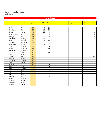#### King and Prince of the Lanes

Leaderboard

|     |                  |                   |                 |                |                 | King of the Lanes |                |     |            |     |     |     |     |            |            |               |
|-----|------------------|-------------------|-----------------|----------------|-----------------|-------------------|----------------|-----|------------|-----|-----|-----|-----|------------|------------|---------------|
|     |                  |                   |                 |                |                 |                   |                |     |            |     |     |     |     |            |            |               |
| Pos | <b>Last Name</b> | <b>First Name</b> | Total<br>Points | Jan            | Feb             | Mar               | Apr            | May | <b>Jun</b> | Jul | Aug | Sep | Oct | <b>Nov</b> | <b>Dec</b> | <b>Titles</b> |
|     |                  |                   |                 |                |                 |                   |                |     |            |     |     |     |     |            |            |               |
|     | 1 Santos         | <b>RJ</b>         | 65              | 15             | 5               | 30                | 15             |     |            |     |     |     |     |            |            | $\mathbf{1}$  |
|     | San Nicolas      | Ray               | 60              | 10             | $\overline{20}$ | 15                | 15             |     |            |     |     |     |     |            |            |               |
| 3   | Elliott          | Aaron             | 40              |                | 30              | 5                 | 5              |     |            |     |     |     |     |            |            | 1             |
| 4   | Leon Guerrero    | Jay               | 35              | 30             |                 | $\overline{5}$    |                |     |            |     |     |     |     |            |            | $\mathbf{1}$  |
|     | 5 Duenas         | Evan              | 34              | $\overline{2}$ |                 | $\overline{2}$    | 30             |     |            |     |     |     |     |            |            | $\mathbf{1}$  |
|     | 6 Manibusan      | Brian             | 30              | 5              | 15              |                   | 10             |     |            |     |     |     |     |            |            |               |
|     | Scott            | Darrell           | 27              |                | 10              | 15                | $\overline{2}$ |     |            |     |     |     |     |            |            |               |
|     | 8 Camacho        | Jeremiah          | 25              | 20             |                 |                   | $\overline{5}$ |     |            |     |     |     |     |            |            |               |
|     | 9 Villanueva     | Cesar             | 22              |                | $\overline{2}$  |                   | 20             |     |            |     |     |     |     |            |            |               |
|     | 10 Tagle         | Manny             | $\overline{20}$ |                |                 | 20                |                |     |            |     |     |     |     |            |            |               |
|     | 11 Santos        | Cameron           | 19              | 2              | 5               | 10                | $\overline{2}$ |     |            |     |     |     |     |            |            |               |
| 12  | Manibusan        | Frank Jr          | 17              | 10             | 5               |                   | $\overline{2}$ |     |            |     |     |     |     |            |            |               |
|     | 13 Duenas        | Ricky             | 17              | 5              |                 | 10                | $\overline{2}$ |     |            |     |     |     |     |            |            |               |
|     | 14 Blas          | Juan              | 17              |                | 5               | $\overline{2}$    | 10             |     |            |     |     |     |     |            |            |               |
|     | 15 Castro        | JD                | 15              |                | 15              |                   |                |     |            |     |     |     |     |            |            | DC            |
|     | 16 Aquino        | Angelo            | 15              | 15             |                 |                   |                |     |            |     |     |     |     |            |            |               |
| 17  | Catbagan         | Charlie           | 12              |                | 10              |                   | $\overline{2}$ |     |            |     |     |     |     |            |            |               |
|     | 18 Borja         | Darien            | 12              | 5              |                 | $\overline{2}$    | $\overline{5}$ |     |            |     |     |     |     |            |            |               |
|     | 19 Sanchez       | Mike              | 11              | $\overline{2}$ | $\overline{2}$  | 5                 | $\overline{2}$ |     |            |     |     |     |     |            |            |               |
|     | 20 Wood          | Maria             | 9               | $\overline{2}$ |                 | 5                 | $\overline{2}$ |     |            |     |     |     |     |            |            |               |
|     | 21 Borja         | Gregory           | $\overline{7}$  |                |                 | $\overline{2}$    | $\overline{5}$ |     |            |     |     |     |     |            |            |               |
| 22  | Cruz             | Ray               | $6\phantom{a}$  | $\overline{2}$ |                 | $\overline{2}$    | $\overline{2}$ |     |            |     |     |     |     |            |            |               |
|     | 23 Day           | Erik              | 5               | 5              |                 |                   |                |     |            |     |     |     |     |            |            |               |
|     | 24 Mercado       | John              | $\overline{4}$  | $\overline{2}$ |                 |                   | $\overline{2}$ |     |            |     |     |     |     |            |            |               |
|     | 25 Etheridge     | Ty                | $\overline{4}$  |                |                 | $\overline{2}$    | $\overline{2}$ |     |            |     |     |     |     |            |            |               |
|     | 26 Wong          | Michael           | $\overline{2}$  | $\overline{2}$ |                 |                   |                |     |            |     |     |     |     |            |            |               |
| 27  | Gutierrez        | Jared             | $\overline{2}$  |                | $\overline{2}$  |                   |                |     |            |     |     |     |     |            |            |               |
|     | 28 Mendiola      | Justin            | $\overline{2}$  |                |                 |                   | $\overline{2}$ |     |            |     |     |     |     |            |            |               |
|     | 29 Zamora        | Zayne             | $\overline{2}$  |                |                 |                   | $\overline{2}$ |     |            |     |     |     |     |            |            |               |